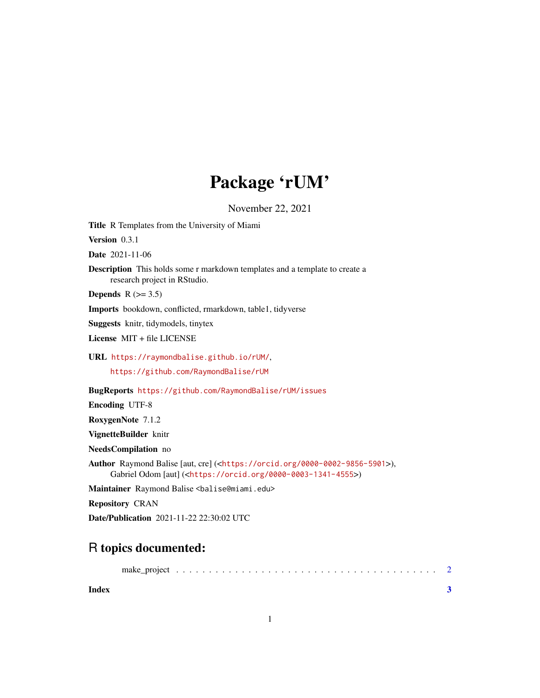## Package 'rUM'

November 22, 2021

Title R Templates from the University of Miami

Version 0.3.1

Date 2021-11-06

Description This holds some r markdown templates and a template to create a research project in RStudio.

Depends  $R$  ( $>= 3.5$ )

Imports bookdown, conflicted, rmarkdown, table1, tidyverse

Suggests knitr, tidymodels, tinytex

License MIT + file LICENSE

URL <https://raymondbalise.github.io/rUM/>,

<https://github.com/RaymondBalise/rUM>

BugReports <https://github.com/RaymondBalise/rUM/issues>

Encoding UTF-8

RoxygenNote 7.1.2

VignetteBuilder knitr

NeedsCompilation no

Author Raymond Balise [aut, cre] (<<https://orcid.org/0000-0002-9856-5901>>), Gabriel Odom [aut] (<<https://orcid.org/0000-0003-1341-4555>>)

Maintainer Raymond Balise <br/>balise@miami.edu>

Repository CRAN

Date/Publication 2021-11-22 22:30:02 UTC

### R topics documented:

**Index** [3](#page-2-0)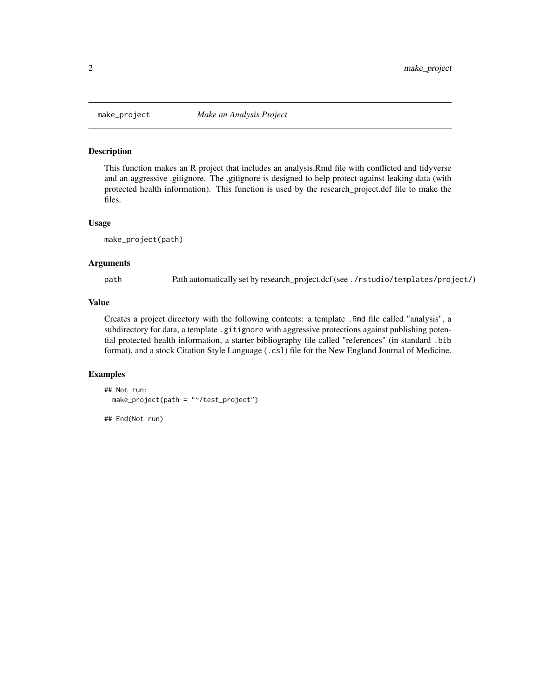<span id="page-1-0"></span>

#### Description

This function makes an R project that includes an analysis.Rmd file with conflicted and tidyverse and an aggressive .gitignore. The .gitignore is designed to help protect against leaking data (with protected health information). This function is used by the research\_project.dcf file to make the files.

#### Usage

make\_project(path)

#### Arguments

path Path automatically set by research\_project.dcf (see ./rstudio/templates/project/)

#### Value

Creates a project directory with the following contents: a template .Rmd file called "analysis", a subdirectory for data, a template .gitignore with aggressive protections against publishing potential protected health information, a starter bibliography file called "references" (in standard .bib format), and a stock Citation Style Language (.csl) file for the New England Journal of Medicine.

#### Examples

```
## Not run:
 make_project(path = "~/test_project")
## End(Not run)
```